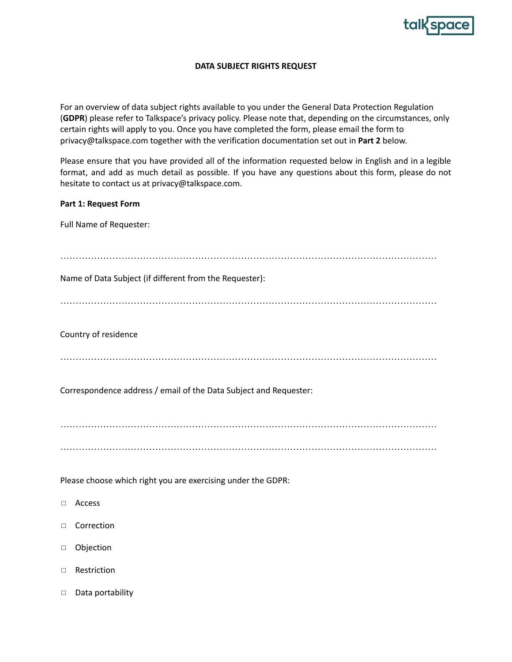

## **DATA SUBJECT RIGHTS REQUEST**

For an overview of data subject rights available to you under the General Data Protection Regulation (**GDPR**) please refer to Talkspace's privacy policy. Please note that, depending on the circumstances, only certain rights will apply to you. Once you have completed the form, please email the form to privacy@talkspace.com together with the verification documentation set out in **Part 2** below.

Please ensure that you have provided all of the information requested below in English and in a legible format, and add as much detail as possible. If you have any questions about this form, please do not hesitate to contact us at privacy@talkspace.com.

## **Part 1: Request Form**

Full Name of Requester:

| Name of Data Subject (if different from the Requester):           |
|-------------------------------------------------------------------|
|                                                                   |
| Country of residence                                              |
|                                                                   |
| Correspondence address / email of the Data Subject and Requester: |
|                                                                   |
|                                                                   |
| Please choose which right you are exercising under the GDPR:      |
| Access<br>$\Box$                                                  |
| Correction<br>$\Box$                                              |
| Objection<br>$\Box$                                               |
| Restriction<br>$\Box$                                             |

□ Data portability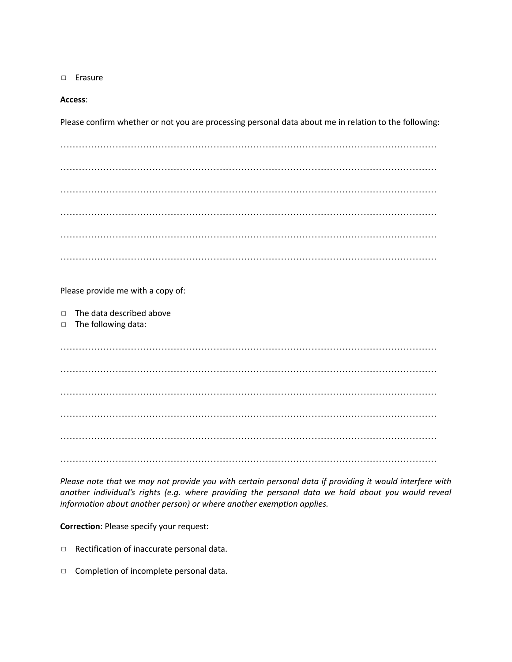◻ Erasure

## **Access**:

Please confirm whether or not you are processing personal data about me in relation to the following:

…………………………………………………………………………………………………………… …………………………………………………………………………………………………………… …………………………………………………………………………………………………………… …………………………………………………………………………………………………………… …………………………………………………………………………………………………………… ……………………………………………………………………………………………………………

Please provide me with a copy of:

◻ The data described above

◻ The following data:

…………………………………………………………………………………………………………… …………………………………………………………………………………………………………… …………………………………………………………………………………………………………… …………………………………………………………………………………………………………… …………………………………………………………………………………………………………… ……………………………………………………………………………………………………………

Please note that we may not provide you with certain personal data if providing it would interfere with *another individual's rights (e.g. where providing the personal data we hold about you would reveal information about another person) or where another exemption applies.*

**Correction**: Please specify your request:

- ◻ Rectification of inaccurate personal data.
- ◻ Completion of incomplete personal data.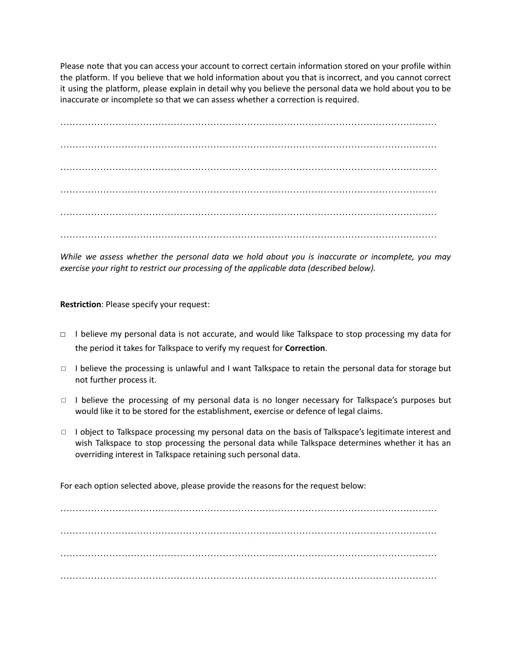Please note that you can access your account to correct certain information stored on your profile within the platform. If you believe that we hold information about you that is incorrect, and you cannot correct it using the platform, please explain in detail why you believe the personal data we hold about you to be inaccurate or incomplete so that we can assess whether a correction is required.

…………………………………………………………………………………………………………… …………………………………………………………………………………………………………… …………………………………………………………………………………………………………… …………………………………………………………………………………………………………… …………………………………………………………………………………………………………… ……………………………………………………………………………………………………………

*While we assess whether the personal data we hold about you is inaccurate or incomplete, you may exercise your right to restrict our processing of the applicable data (described below).*

**Restriction**: Please specify your request:

- ◻ I believe my personal data is not accurate, and would like Talkspace to stop processing my data for the period it takes for Talkspace to verify my request for **Correction**.
- ◻ I believe the processing is unlawful and I want Talkspace to retain the personal data for storage but not further process it.
- ◻ I believe the processing of my personal data is no longer necessary for Talkspace's purposes but would like it to be stored for the establishment, exercise or defence of legal claims.
- ◻ I object to Talkspace processing my personal data on the basis of Talkspace's legitimate interest and wish Talkspace to stop processing the personal data while Talkspace determines whether it has an overriding interest in Talkspace retaining such personal data.

For each option selected above, please provide the reasons for the request below:

…………………………………………………………………………………………………………… …………………………………………………………………………………………………………… …………………………………………………………………………………………………………… ……………………………………………………………………………………………………………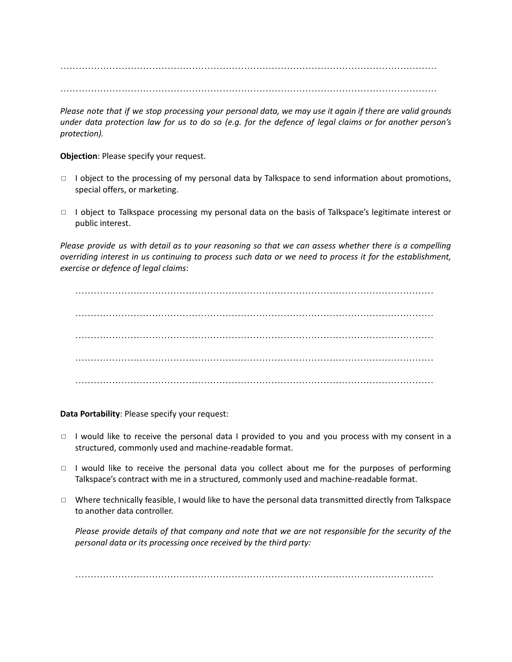…………………………………………………………………………………………………………… ……………………………………………………………………………………………………………

Please note that if we stop processing your personal data, we may use it again if there are valid grounds under data protection law for us to do so (e.g. for the defence of legal claims or for another person's *protection).*

**Objection**: Please specify your request.

- □ I object to the processing of my personal data by Talkspace to send information about promotions, special offers, or marketing.
- ◻ I object to Talkspace processing my personal data on the basis of Talkspace's legitimate interest or public interest.

Please provide us with detail as to your reasoning so that we can assess whether there is a compelling overriding interest in us continuing to process such data or we need to process it for the establishment, *exercise or defence of legal claims*:

……………………………………………………………………………………………………… ……………………………………………………………………………………………………… ……………………………………………………………………………………………………… ……………………………………………………………………………………………………… ………………………………………………………………………………………………………

**Data Portability**: Please specify your request:

- ◻ I would like to receive the personal data I provided to you and you process with my consent in a structured, commonly used and machine-readable format.
- ◻ I would like to receive the personal data you collect about me for the purposes of performing Talkspace's contract with me in a structured, commonly used and machine-readable format.
- ◻ Where technically feasible, I would like to have the personal data transmitted directly from Talkspace to another data controller.

Please provide details of that company and note that we are not responsible for the security of the *personal data or its processing once received by the third party:*

………………………………………………………………………………………………………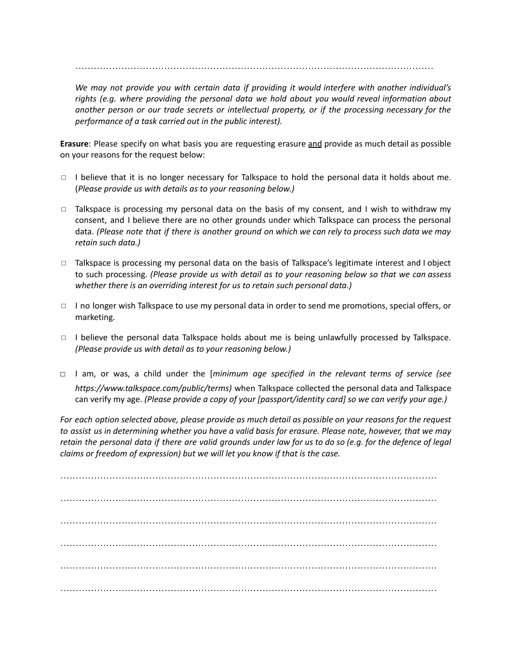………………………………………………………………………………………………………

*We may not provide you with certain data if providing it would interfere with another individual's rights (e.g. where providing the personal data we hold about you would reveal information about another person or our trade secrets or intellectual property, or if the processing necessary for the performance of a task carried out in the public interest).*

**Erasure**: Please specify on what basis you are requesting erasure and provide as much detail as possible on your reasons for the request below:

- $\Box$  I believe that it is no longer necessary for Talkspace to hold the personal data it holds about me. (*Please provide us with details as to your reasoning below.)*
- $\Box$  Talkspace is processing my personal data on the basis of my consent, and I wish to withdraw my consent, and I believe there are no other grounds under which Talkspace can process the personal data. (Please note that if there is another ground on which we can rely to process such data we may *retain such data.)*
- ◻ Talkspace is processing my personal data on the basis of Talkspace's legitimate interest and I object to such processing. *(Please provide us with detail as to your reasoning below so that we can assess whether there is an overriding interest for us to retain such personal data.)*
- ◻ I no longer wish Talkspace to use my personal data in order to send me promotions, special offers, or marketing.
- ◻ I believe the personal data Talkspace holds about me is being unlawfully processed by Talkspace. *(Please provide us with detail as to your reasoning below.)*
- ◻ I am, or was, a child under the [*minimum age specified in the relevant terms of service (see https://www.talkspace.com/public/terms)* when Talkspace collected the personal data and Talkspace can verify my age. *(Please provide a copy of your [passport/identity card] so we can verify your age.)*

For each option selected above, please provide as much detail as possible on your reasons for the request to assist us in determining whether you have a valid basis for erasure. Please note, however, that we may retain the personal data if there are valid grounds under law for us to do so (e.g. for the defence of legal *claims or freedom of expression) but we will let you know if that is the case.*

…………………………………………………………………………………………………………… …………………………………………………………………………………………………………… …………………………………………………………………………………………………………… …………………………………………………………………………………………………………… …………………………………………………………………………………………………………… ……………………………………………………………………………………………………………